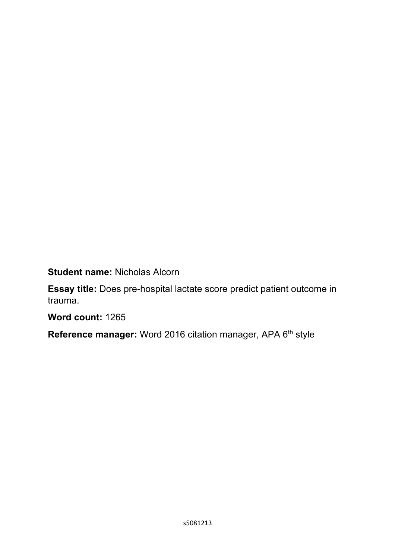**Student name:** Nicholas Alcorn

**Essay title:** Does pre-hospital lactate score predict patient outcome in trauma.

**Word count:** 1265

**Reference manager:** Word 2016 citation manager, APA 6<sup>th</sup> style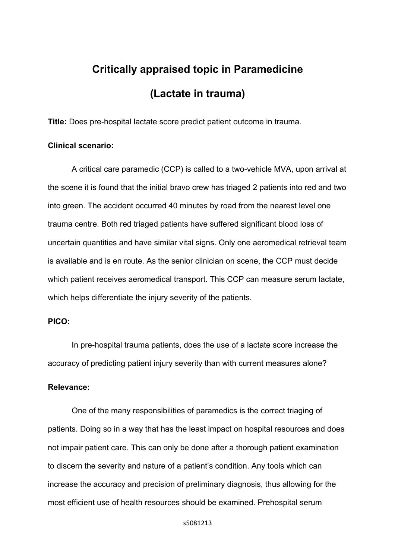# **Critically appraised topic in Paramedicine (Lactate in trauma)**

**Title:** Does pre-hospital lactate score predict patient outcome in trauma.

#### **Clinical scenario:**

A critical care paramedic (CCP) is called to a two-vehicle MVA, upon arrival at the scene it is found that the initial bravo crew has triaged 2 patients into red and two into green. The accident occurred 40 minutes by road from the nearest level one trauma centre. Both red triaged patients have suffered significant blood loss of uncertain quantities and have similar vital signs. Only one aeromedical retrieval team is available and is en route. As the senior clinician on scene, the CCP must decide which patient receives aeromedical transport. This CCP can measure serum lactate, which helps differentiate the injury severity of the patients.

#### **PICO:**

In pre-hospital trauma patients, does the use of a lactate score increase the accuracy of predicting patient injury severity than with current measures alone?

#### **Relevance:**

One of the many responsibilities of paramedics is the correct triaging of patients. Doing so in a way that has the least impact on hospital resources and does not impair patient care. This can only be done after a thorough patient examination to discern the severity and nature of a patient's condition. Any tools which can increase the accuracy and precision of preliminary diagnosis, thus allowing for the most efficient use of health resources should be examined. Prehospital serum

s5081213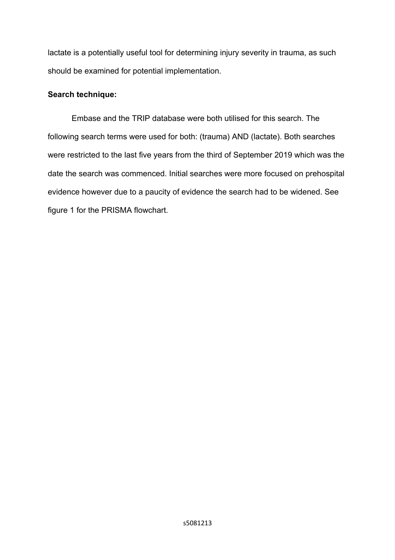lactate is a potentially useful tool for determining injury severity in trauma, as such should be examined for potential implementation.

### **Search technique:**

Embase and the TRIP database were both utilised for this search. The following search terms were used for both: (trauma) AND (lactate). Both searches were restricted to the last five years from the third of September 2019 which was the date the search was commenced. Initial searches were more focused on prehospital evidence however due to a paucity of evidence the search had to be widened. See figure 1 for the PRISMA flowchart.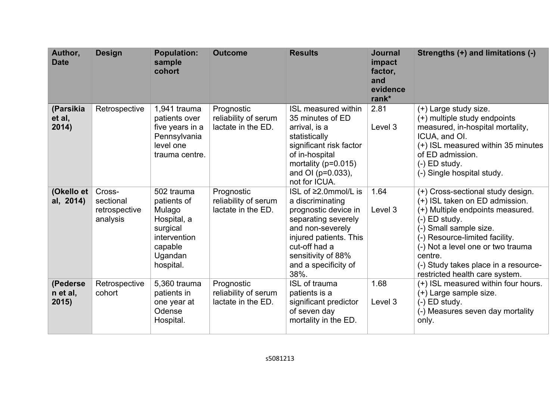| Author,<br><b>Date</b>        | <b>Design</b>                                    | <b>Population:</b><br>sample<br>cohort                                                                            | <b>Outcome</b>                                           | <b>Results</b>                                                                                                                                                                                               | <b>Journal</b><br>impact<br>factor,<br>and<br>evidence<br>rank* | Strengths (+) and limitations (-)                                                                                                                                                                                                                                                                                |
|-------------------------------|--------------------------------------------------|-------------------------------------------------------------------------------------------------------------------|----------------------------------------------------------|--------------------------------------------------------------------------------------------------------------------------------------------------------------------------------------------------------------|-----------------------------------------------------------------|------------------------------------------------------------------------------------------------------------------------------------------------------------------------------------------------------------------------------------------------------------------------------------------------------------------|
| (Parsikia<br>et al,<br>2014)  | Retrospective                                    | 1,941 trauma<br>patients over<br>five years in a<br>Pennsylvania<br>level one<br>trauma centre.                   | Prognostic<br>reliability of serum<br>lactate in the ED. | <b>ISL measured within</b><br>35 minutes of ED<br>arrival, is a<br>statistically<br>significant risk factor<br>of in-hospital<br>mortality ( $p=0.015$ )<br>and OI (p=0.033),<br>not for ICUA.               | 2.81<br>Level 3                                                 | (+) Large study size.<br>(+) multiple study endpoints<br>measured, in-hospital mortality,<br>ICUA, and OI.<br>(+) ISL measured within 35 minutes<br>of ED admission.<br>$(-)$ ED study.<br>(-) Single hospital study.                                                                                            |
| (Okello et<br>al, 2014)       | Cross-<br>sectional<br>retrospective<br>analysis | 502 trauma<br>patients of<br>Mulago<br>Hospital, a<br>surgical<br>intervention<br>capable<br>Ugandan<br>hospital. | Prognostic<br>reliability of serum<br>lactate in the ED. | ISL of ≥2.0mmol/L is<br>a discriminating<br>prognostic device in<br>separating severely<br>and non-severely<br>injured patients. This<br>cut-off had a<br>sensitivity of 88%<br>and a specificity of<br>38%. | 1.64<br>Level 3                                                 | (+) Cross-sectional study design.<br>(+) ISL taken on ED admission.<br>(+) Multiple endpoints measured.<br>$(-)$ ED study.<br>(-) Small sample size.<br>(-) Resource-limited facility.<br>(-) Not a level one or two trauma<br>centre.<br>(-) Study takes place in a resource-<br>restricted health care system. |
| (Pederse<br>n et al,<br>2015) | Retrospective<br>cohort                          | 5,360 trauma<br>patients in<br>one year at<br>Odense<br>Hospital.                                                 | Prognostic<br>reliability of serum<br>lactate in the ED. | ISL of trauma<br>patients is a<br>significant predictor<br>of seven day<br>mortality in the ED.                                                                                                              | 1.68<br>Level 3                                                 | (+) ISL measured within four hours.<br>(+) Large sample size.<br>(-) ED study.<br>(-) Measures seven day mortality<br>only.                                                                                                                                                                                      |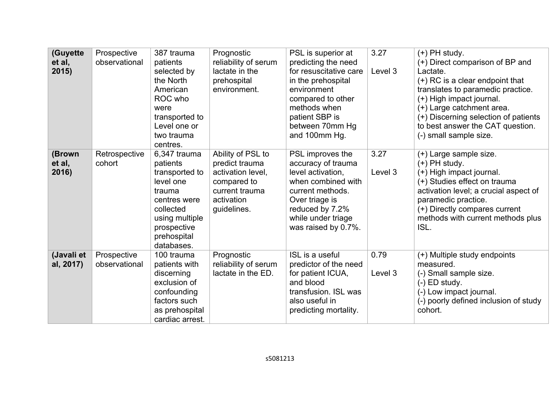| (Guyette<br>et al,<br>2015) | Prospective<br>observational | 387 trauma<br>patients<br>selected by<br>the North<br>American<br>ROC who<br>were<br>transported to<br>Level one or<br>two trauma<br>centres.                | Prognostic<br>reliability of serum<br>lactate in the<br>prehospital<br>environment.                                    | PSL is superior at<br>predicting the need<br>for resuscitative care<br>in the prehospital<br>environment<br>compared to other<br>methods when<br>patient SBP is<br>between 70mm Hg<br>and 100mm Hg. | 3.27<br>Level 3 | $(+)$ PH study.<br>(+) Direct comparison of BP and<br>Lactate.<br>$(+)$ RC is a clear endpoint that<br>translates to paramedic practice.<br>(+) High impact journal.<br>(+) Large catchment area.<br>(+) Discerning selection of patients<br>to best answer the CAT question.<br>(-) small sample size. |
|-----------------------------|------------------------------|--------------------------------------------------------------------------------------------------------------------------------------------------------------|------------------------------------------------------------------------------------------------------------------------|-----------------------------------------------------------------------------------------------------------------------------------------------------------------------------------------------------|-----------------|---------------------------------------------------------------------------------------------------------------------------------------------------------------------------------------------------------------------------------------------------------------------------------------------------------|
| (Brown<br>et al,<br>2016)   | Retrospective<br>cohort      | 6,347 trauma<br>patients<br>transported to<br>level one<br>trauma<br>centres were<br>collected<br>using multiple<br>prospective<br>prehospital<br>databases. | Ability of PSL to<br>predict trauma<br>activation level,<br>compared to<br>current trauma<br>activation<br>guidelines. | PSL improves the<br>accuracy of trauma<br>level activation,<br>when combined with<br>current methods.<br>Over triage is<br>reduced by 7.2%<br>while under triage<br>was raised by 0.7%.             | 3.27<br>Level 3 | (+) Large sample size.<br>$(+)$ PH study.<br>(+) High impact journal.<br>(+) Studies effect on trauma<br>activation level; a crucial aspect of<br>paramedic practice.<br>(+) Directly compares current<br>methods with current methods plus<br>ISL.                                                     |
| (Javali et<br>al, 2017)     | Prospective<br>observational | 100 trauma<br>patients with<br>discerning<br>exclusion of<br>confounding<br>factors such<br>as prehospital<br>cardiac arrest.                                | Prognostic<br>reliability of serum<br>lactate in the ED.                                                               | ISL is a useful<br>predictor of the need<br>for patient ICUA,<br>and blood<br>transfusion. ISL was<br>also useful in<br>predicting mortality.                                                       | 0.79<br>Level 3 | (+) Multiple study endpoints<br>measured.<br>(-) Small sample size.<br>$(-)$ ED study.<br>(-) Low impact journal.<br>(-) poorly defined inclusion of study<br>cohort.                                                                                                                                   |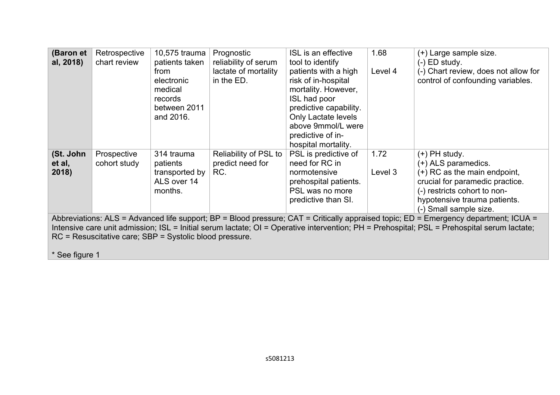| (Baron et                                                                                                                                                                                                                                                                                                                                          | Retrospective               | 10,575 trauma                                                         | Prognostic                                       | ISL is an effective                                                                                                                                                                                          | 1.68            | (+) Large sample size.                                                                                                                                                                              |
|----------------------------------------------------------------------------------------------------------------------------------------------------------------------------------------------------------------------------------------------------------------------------------------------------------------------------------------------------|-----------------------------|-----------------------------------------------------------------------|--------------------------------------------------|--------------------------------------------------------------------------------------------------------------------------------------------------------------------------------------------------------------|-----------------|-----------------------------------------------------------------------------------------------------------------------------------------------------------------------------------------------------|
| al, 2018)                                                                                                                                                                                                                                                                                                                                          | chart review                | patients taken                                                        | reliability of serum                             | tool to identify                                                                                                                                                                                             |                 | $(-)$ ED study.                                                                                                                                                                                     |
|                                                                                                                                                                                                                                                                                                                                                    |                             | from<br>electronic<br>medical<br>records<br>between 2011<br>and 2016. | lactate of mortality<br>in the ED.               | patients with a high<br>risk of in-hospital<br>mortality. However,<br>ISL had poor<br>predictive capability.<br><b>Only Lactate levels</b><br>above 9mmol/L were<br>predictive of in-<br>hospital mortality. | Level 4         | (-) Chart review, does not allow for<br>control of confounding variables.                                                                                                                           |
| (St. John<br>et al,<br>2018)                                                                                                                                                                                                                                                                                                                       | Prospective<br>cohort study | 314 trauma<br>patients<br>transported by<br>ALS over 14<br>months.    | Reliability of PSL to<br>predict need for<br>RC. | PSL is predictive of<br>need for RC in<br>normotensive<br>prehospital patients.<br>PSL was no more<br>predictive than SI.                                                                                    | 1.72<br>Level 3 | $(+)$ PH study.<br>(+) ALS paramedics.<br>(+) RC as the main endpoint,<br>crucial for paramedic practice.<br>(-) restricts cohort to non-<br>hypotensive trauma patients.<br>(-) Small sample size. |
| Abbreviations: ALS = Advanced life support; BP = Blood pressure; CAT = Critically appraised topic; ED = Emergency department; ICUA =<br>Intensive care unit admission; ISL = Initial serum lactate; OI = Operative intervention; PH = Prehospital; PSL = Prehospital serum lactate;<br>$RC$ = Resuscitative care; $SBP$ = Systolic blood pressure. |                             |                                                                       |                                                  |                                                                                                                                                                                                              |                 |                                                                                                                                                                                                     |

\* See figure 1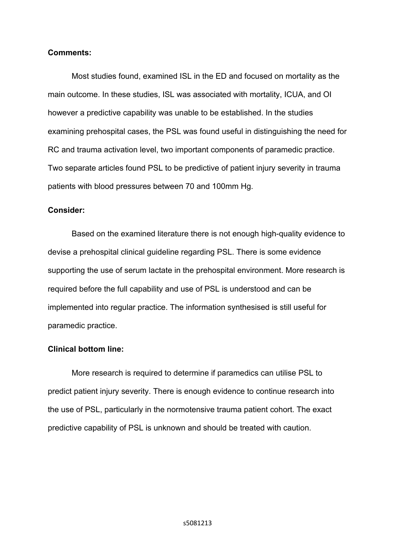#### **Comments:**

Most studies found, examined ISL in the ED and focused on mortality as the main outcome. In these studies, ISL was associated with mortality, ICUA, and OI however a predictive capability was unable to be established. In the studies examining prehospital cases, the PSL was found useful in distinguishing the need for RC and trauma activation level, two important components of paramedic practice. Two separate articles found PSL to be predictive of patient injury severity in trauma patients with blood pressures between 70 and 100mm Hg.

#### **Consider:**

Based on the examined literature there is not enough high-quality evidence to devise a prehospital clinical guideline regarding PSL. There is some evidence supporting the use of serum lactate in the prehospital environment. More research is required before the full capability and use of PSL is understood and can be implemented into regular practice. The information synthesised is still useful for paramedic practice.

#### **Clinical bottom line:**

More research is required to determine if paramedics can utilise PSL to predict patient injury severity. There is enough evidence to continue research into the use of PSL, particularly in the normotensive trauma patient cohort. The exact predictive capability of PSL is unknown and should be treated with caution.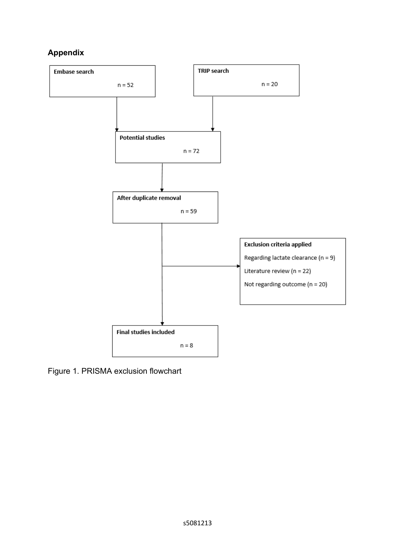## **Appendix**



Figure 1. PRISMA exclusion flowchart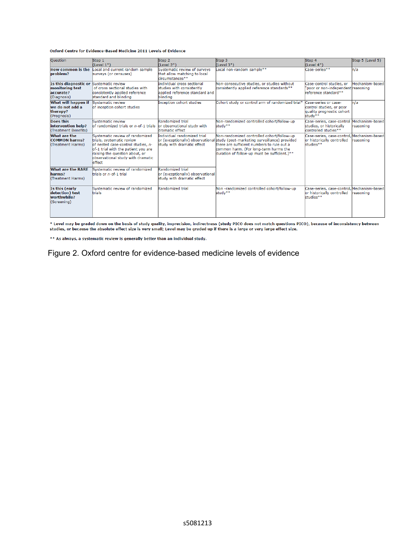#### Oxford Centre for Evidence-Based Medicine 2011 Levels of Evidence

| <b>Question</b>                                                                        | Step 1<br>$(Level 1*)$                                                                                                                                                                                                     | Step <sub>2</sub><br>$(Level 2*)$                                                                     | Step 3<br>$(Level 3*)$                                                                                                                                                                                                                                             | Step 4<br>(Level 4*)                                                                     | Step 5 (Level 5)              |
|----------------------------------------------------------------------------------------|----------------------------------------------------------------------------------------------------------------------------------------------------------------------------------------------------------------------------|-------------------------------------------------------------------------------------------------------|--------------------------------------------------------------------------------------------------------------------------------------------------------------------------------------------------------------------------------------------------------------------|------------------------------------------------------------------------------------------|-------------------------------|
| How common is the<br>problem?                                                          | Local and current random sample<br>surveys (or censuses)                                                                                                                                                                   | Systematic review of surveys<br>that allow matching to local<br>circumstances**                       | Local non-random sample**                                                                                                                                                                                                                                          | Case-series**                                                                            | ln/a                          |
| Is this diagnostic or Systematic review<br>monitoring test<br>accurate?<br>(Diagnosis) | of cross sectional studies with<br>consistently applied reference<br>standard and blinding                                                                                                                                 | Individual cross sectional<br>studies with consistently<br>applied reference standard and<br>blindina | Non-consecutive studies, or studies without<br>consistently applied reference standards**                                                                                                                                                                          | Case-control studies, or<br>'poor or non-independent reasoning<br>reference standard**   | Mechanism-based               |
| What will happen if<br>we do not add a<br>therapy?<br>(Prognosis)                      | Systematic review<br>of inception cohort studies                                                                                                                                                                           | Inception cohort studies                                                                              | Cohort study or control arm of randomized trial*                                                                                                                                                                                                                   | Case-series or case-<br>control studies, or poor<br>quality prognostic cohort<br>study** | ln/a                          |
| Does this<br>intervention help?<br>(Treatment Benefits)                                | Systematic review<br>of randomized trials or n-of-1 trials                                                                                                                                                                 | <b>Randomized trial</b><br>or observational study with<br>dramatic effect                             | Non-randomized controlled cohort/follow-up<br>studv**                                                                                                                                                                                                              | Case-series, case-control<br>studies, or historically<br>controlled studies**            | Mechanism-based<br>Ireasoning |
| What are the<br><b>COMMON harms?</b><br>(Treatment Harms)                              | Systematic review of randomized<br>trials, systematic review<br>of nested case-control studies, n-<br>of-1 trial with the patient you are<br>raising the question about, or<br>observational study with dramatic<br>effect | Individual randomized trial<br>study with dramatic effect                                             | Non-randomized controlled cohort/follow-up<br>or (exceptionally) observational study (post-marketing surveillance) provided<br>there are sufficient numbers to rule out a<br>common harm. (For long-term harms the<br>duration of follow-up must be sufficient.)** | Case-series, case-control,<br>lor historically controlled<br>studies**                   | Mechanism-based<br>reasoning  |
| What are the RARE<br>harms?<br>(Treatment Harms)                                       | Systematic review of randomized<br>trials or n-of-1 trial                                                                                                                                                                  | <b>Randomized trial</b><br>or (exceptionally) observational<br>study with dramatic effect             |                                                                                                                                                                                                                                                                    |                                                                                          |                               |
| Is this (early<br>detection) test<br>worthwhile?<br>(Screening)                        | Systematic review of randomized<br><b>trials</b>                                                                                                                                                                           | Randomized trial                                                                                      | Non-randomized controlled cohort/follow-up<br>studv**                                                                                                                                                                                                              | Case-series, case-control,<br>lor historically controlled<br>studies**                   | Mechanism-based<br>reasoning  |

\* Level may be graded down on the basis of study quality, imprecision, indirectness (study PICO does not match questions PICO), because of inconsistency between studies, or because the absolute effect size is very small; Level may be graded up if there is a large or very large effect size.

\*\* As always, a systematic review is generally better than an individual study.

Figure 2. Oxford centre for evidence-based medicine levels of evidence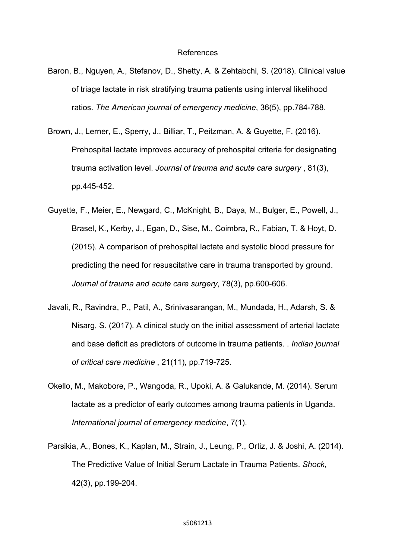#### References

- Baron, B., Nguyen, A., Stefanov, D., Shetty, A. & Zehtabchi, S. (2018). Clinical value of triage lactate in risk stratifying trauma patients using interval likelihood ratios. *The American journal of emergency medicine*, 36(5), pp.784-788.
- Brown, J., Lerner, E., Sperry, J., Billiar, T., Peitzman, A. & Guyette, F. (2016). Prehospital lactate improves accuracy of prehospital criteria for designating trauma activation level. *Journal of trauma and acute care surgery* , 81(3), pp.445-452.
- Guyette, F., Meier, E., Newgard, C., McKnight, B., Daya, M., Bulger, E., Powell, J., Brasel, K., Kerby, J., Egan, D., Sise, M., Coimbra, R., Fabian, T. & Hoyt, D. (2015). A comparison of prehospital lactate and systolic blood pressure for predicting the need for resuscitative care in trauma transported by ground. *Journal of trauma and acute care surgery*, 78(3), pp.600-606.
- Javali, R., Ravindra, P., Patil, A., Srinivasarangan, M., Mundada, H., Adarsh, S. & Nisarg, S. (2017). A clinical study on the initial assessment of arterial lactate and base deficit as predictors of outcome in trauma patients. . *Indian journal of critical care medicine* , 21(11), pp.719-725.
- Okello, M., Makobore, P., Wangoda, R., Upoki, A. & Galukande, M. (2014). Serum lactate as a predictor of early outcomes among trauma patients in Uganda. *International journal of emergency medicine*, 7(1).
- Parsikia, A., Bones, K., Kaplan, M., Strain, J., Leung, P., Ortiz, J. & Joshi, A. (2014). The Predictive Value of Initial Serum Lactate in Trauma Patients. *Shock*, 42(3), pp.199-204.